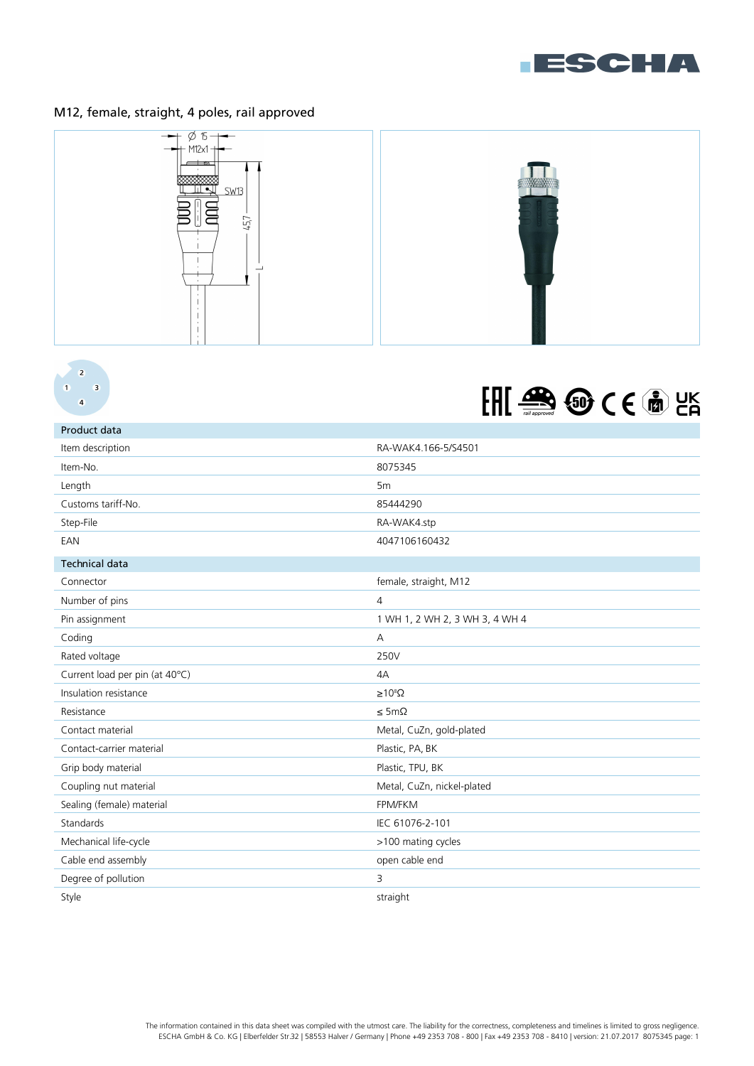

## M12, female, straight, 4 poles, rail approved





## EFFE SE SO CE M LA

| Product data                   |                                |
|--------------------------------|--------------------------------|
| Item description               | RA-WAK4.166-5/S4501            |
| Item-No.                       | 8075345                        |
| Length                         | 5m                             |
| Customs tariff-No.             | 85444290                       |
| Step-File                      | RA-WAK4.stp                    |
| EAN                            | 4047106160432                  |
| <b>Technical data</b>          |                                |
| Connector                      | female, straight, M12          |
| Number of pins                 | $\overline{4}$                 |
| Pin assignment                 | 1 WH 1, 2 WH 2, 3 WH 3, 4 WH 4 |
| Coding                         | А                              |
| Rated voltage                  | 250V                           |
| Current load per pin (at 40°C) | 4A                             |
| Insulation resistance          | $\geq 10^8 \Omega$             |
| Resistance                     | $\leq$ 5m $\Omega$             |
| Contact material               | Metal, CuZn, gold-plated       |
| Contact-carrier material       | Plastic, PA, BK                |
| Grip body material             | Plastic, TPU, BK               |
| Coupling nut material          | Metal, CuZn, nickel-plated     |
| Sealing (female) material      | FPM/FKM                        |
| Standards                      | IEC 61076-2-101                |
| Mechanical life-cycle          | >100 mating cycles             |
| Cable end assembly             | open cable end                 |
| Degree of pollution            | 3                              |
| Style                          | straight                       |